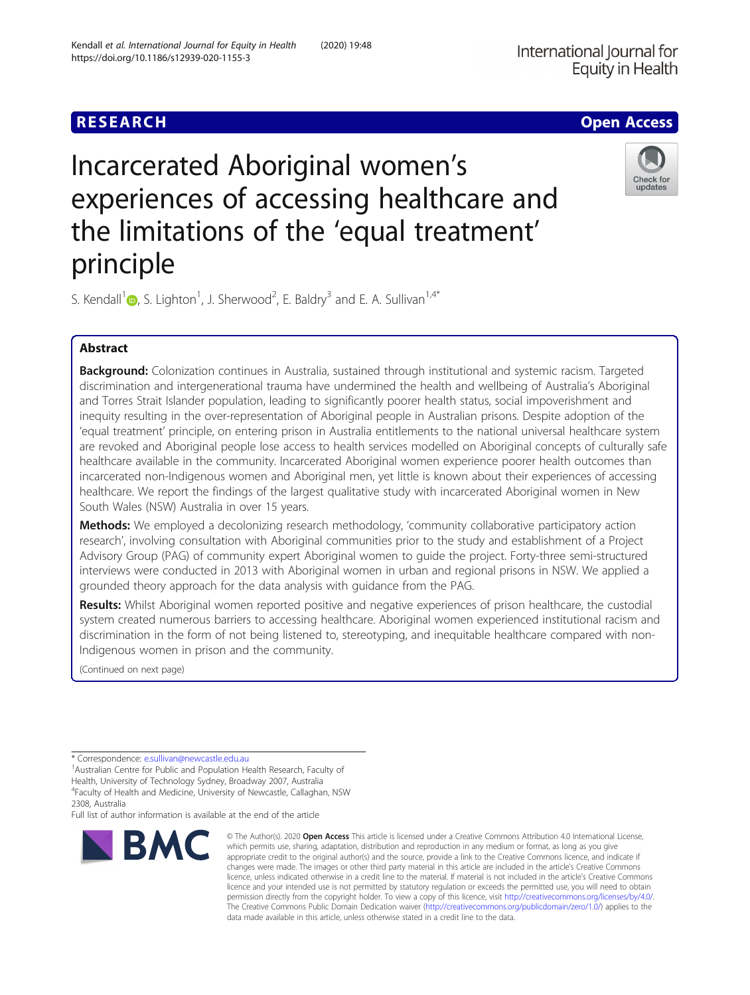## **RESEARCH CHE Open Access**

# Incarcerated Aboriginal women's experiences of accessing healthcare and the limitations of the 'equal treatment' principle

S. Kendall<sup>[1](http://orcid.org/0000-0002-3627-827X)</sup> $\bullet$ , S. Lighton<sup>1</sup>, J. Sherwood<sup>2</sup>, E. Baldry<sup>3</sup> and E. A. Sullivan<sup>1,4\*</sup>

### Abstract

Background: Colonization continues in Australia, sustained through institutional and systemic racism. Targeted discrimination and intergenerational trauma have undermined the health and wellbeing of Australia's Aboriginal and Torres Strait Islander population, leading to significantly poorer health status, social impoverishment and inequity resulting in the over-representation of Aboriginal people in Australian prisons. Despite adoption of the 'equal treatment' principle, on entering prison in Australia entitlements to the national universal healthcare system are revoked and Aboriginal people lose access to health services modelled on Aboriginal concepts of culturally safe healthcare available in the community. Incarcerated Aboriginal women experience poorer health outcomes than incarcerated non-Indigenous women and Aboriginal men, yet little is known about their experiences of accessing healthcare. We report the findings of the largest qualitative study with incarcerated Aboriginal women in New South Wales (NSW) Australia in over 15 years.

Methods: We employed a decolonizing research methodology, 'community collaborative participatory action research', involving consultation with Aboriginal communities prior to the study and establishment of a Project Advisory Group (PAG) of community expert Aboriginal women to guide the project. Forty-three semi-structured interviews were conducted in 2013 with Aboriginal women in urban and regional prisons in NSW. We applied a grounded theory approach for the data analysis with guidance from the PAG.

Results: Whilst Aboriginal women reported positive and negative experiences of prison healthcare, the custodial system created numerous barriers to accessing healthcare. Aboriginal women experienced institutional racism and discrimination in the form of not being listened to, stereotyping, and inequitable healthcare compared with non-Indigenous women in prison and the community.

(Continued on next page)

\* Correspondence: [e.sullivan@newcastle.edu.au](mailto:e.sullivan@newcastle.edu.au) <sup>1</sup>

**BMC** 

<sup>1</sup> Australian Centre for Public and Population Health Research, Faculty of Health, University of Technology Sydney, Broadway 2007, Australia 4 Faculty of Health and Medicine, University of Newcastle, Callaghan, NSW

2308, Australia

Full list of author information is available at the end of the article



© The Author(s), 2020 **Open Access** This article is licensed under a Creative Commons Attribution 4.0 International License, which permits use, sharing, adaptation, distribution and reproduction in any medium or format, as long as you give

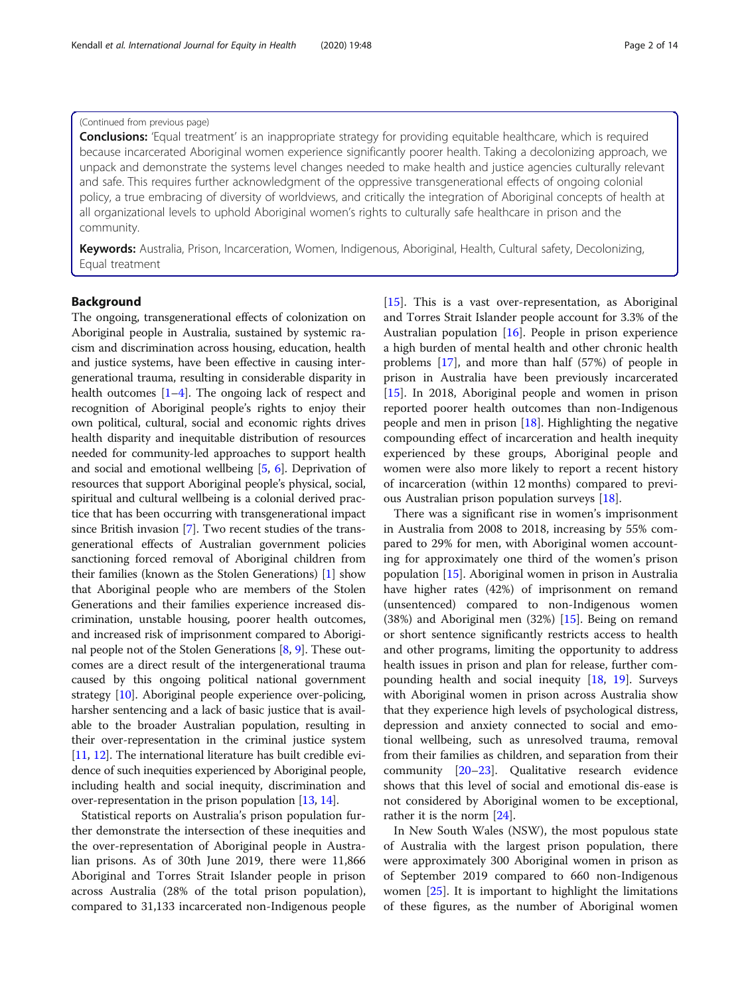#### (Continued from previous page)

**Conclusions:** 'Equal treatment' is an inappropriate strategy for providing equitable healthcare, which is required because incarcerated Aboriginal women experience significantly poorer health. Taking a decolonizing approach, we unpack and demonstrate the systems level changes needed to make health and justice agencies culturally relevant and safe. This requires further acknowledgment of the oppressive transgenerational effects of ongoing colonial policy, a true embracing of diversity of worldviews, and critically the integration of Aboriginal concepts of health at all organizational levels to uphold Aboriginal women's rights to culturally safe healthcare in prison and the community.

Keywords: Australia, Prison, Incarceration, Women, Indigenous, Aboriginal, Health, Cultural safety, Decolonizing, Equal treatment

#### Background

The ongoing, transgenerational effects of colonization on Aboriginal people in Australia, sustained by systemic racism and discrimination across housing, education, health and justice systems, have been effective in causing intergenerational trauma, resulting in considerable disparity in health outcomes  $[1-4]$  $[1-4]$  $[1-4]$  $[1-4]$ . The ongoing lack of respect and recognition of Aboriginal people's rights to enjoy their own political, cultural, social and economic rights drives health disparity and inequitable distribution of resources needed for community-led approaches to support health and social and emotional wellbeing [[5](#page-11-0), [6](#page-11-0)]. Deprivation of resources that support Aboriginal people's physical, social, spiritual and cultural wellbeing is a colonial derived practice that has been occurring with transgenerational impact since British invasion [\[7\]](#page-12-0). Two recent studies of the transgenerational effects of Australian government policies sanctioning forced removal of Aboriginal children from their families (known as the Stolen Generations) [[1\]](#page-11-0) show that Aboriginal people who are members of the Stolen Generations and their families experience increased discrimination, unstable housing, poorer health outcomes, and increased risk of imprisonment compared to Aboriginal people not of the Stolen Generations [[8,](#page-12-0) [9](#page-12-0)]. These outcomes are a direct result of the intergenerational trauma caused by this ongoing political national government strategy [[10](#page-12-0)]. Aboriginal people experience over-policing, harsher sentencing and a lack of basic justice that is available to the broader Australian population, resulting in their over-representation in the criminal justice system [[11](#page-12-0), [12\]](#page-12-0). The international literature has built credible evidence of such inequities experienced by Aboriginal people, including health and social inequity, discrimination and over-representation in the prison population [\[13,](#page-12-0) [14](#page-12-0)].

Statistical reports on Australia's prison population further demonstrate the intersection of these inequities and the over-representation of Aboriginal people in Australian prisons. As of 30th June 2019, there were 11,866 Aboriginal and Torres Strait Islander people in prison across Australia (28% of the total prison population), compared to 31,133 incarcerated non-Indigenous people [[15\]](#page-12-0). This is a vast over-representation, as Aboriginal and Torres Strait Islander people account for 3.3% of the Australian population [\[16](#page-12-0)]. People in prison experience a high burden of mental health and other chronic health problems [[17](#page-12-0)], and more than half (57%) of people in prison in Australia have been previously incarcerated [[15\]](#page-12-0). In 2018, Aboriginal people and women in prison reported poorer health outcomes than non-Indigenous people and men in prison  $[18]$  $[18]$ . Highlighting the negative compounding effect of incarceration and health inequity experienced by these groups, Aboriginal people and women were also more likely to report a recent history of incarceration (within 12 months) compared to previous Australian prison population surveys [[18\]](#page-12-0).

There was a significant rise in women's imprisonment in Australia from 2008 to 2018, increasing by 55% compared to 29% for men, with Aboriginal women accounting for approximately one third of the women's prison population [[15\]](#page-12-0). Aboriginal women in prison in Australia have higher rates (42%) of imprisonment on remand (unsentenced) compared to non-Indigenous women (38%) and Aboriginal men (32%) [[15\]](#page-12-0). Being on remand or short sentence significantly restricts access to health and other programs, limiting the opportunity to address health issues in prison and plan for release, further compounding health and social inequity [[18,](#page-12-0) [19\]](#page-12-0). Surveys with Aboriginal women in prison across Australia show that they experience high levels of psychological distress, depression and anxiety connected to social and emotional wellbeing, such as unresolved trauma, removal from their families as children, and separation from their community [\[20](#page-12-0)–[23\]](#page-12-0). Qualitative research evidence shows that this level of social and emotional dis-ease is not considered by Aboriginal women to be exceptional, rather it is the norm [[24](#page-12-0)].

In New South Wales (NSW), the most populous state of Australia with the largest prison population, there were approximately 300 Aboriginal women in prison as of September 2019 compared to 660 non-Indigenous women [[25\]](#page-12-0). It is important to highlight the limitations of these figures, as the number of Aboriginal women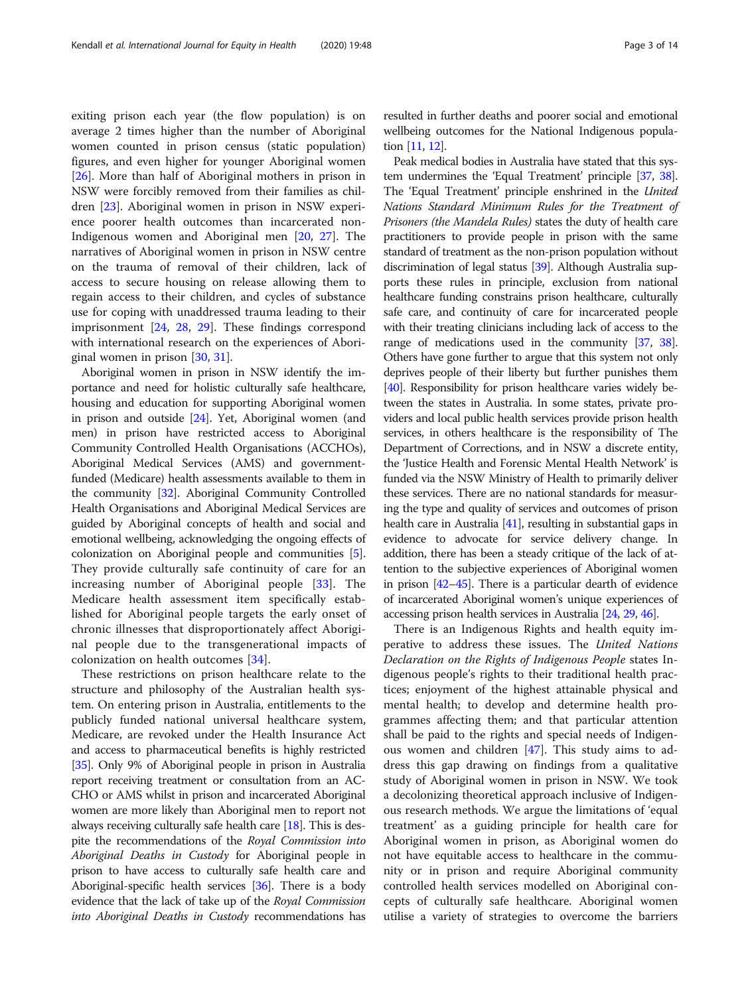exiting prison each year (the flow population) is on average 2 times higher than the number of Aboriginal women counted in prison census (static population) figures, and even higher for younger Aboriginal women [[26\]](#page-12-0). More than half of Aboriginal mothers in prison in NSW were forcibly removed from their families as children [\[23](#page-12-0)]. Aboriginal women in prison in NSW experience poorer health outcomes than incarcerated non-Indigenous women and Aboriginal men [[20,](#page-12-0) [27\]](#page-12-0). The narratives of Aboriginal women in prison in NSW centre on the trauma of removal of their children, lack of access to secure housing on release allowing them to regain access to their children, and cycles of substance use for coping with unaddressed trauma leading to their imprisonment [[24](#page-12-0), [28,](#page-12-0) [29\]](#page-12-0). These findings correspond with international research on the experiences of Aboriginal women in prison [[30,](#page-12-0) [31\]](#page-12-0).

Aboriginal women in prison in NSW identify the importance and need for holistic culturally safe healthcare, housing and education for supporting Aboriginal women in prison and outside [[24](#page-12-0)]. Yet, Aboriginal women (and men) in prison have restricted access to Aboriginal Community Controlled Health Organisations (ACCHOs), Aboriginal Medical Services (AMS) and governmentfunded (Medicare) health assessments available to them in the community [\[32\]](#page-12-0). Aboriginal Community Controlled Health Organisations and Aboriginal Medical Services are guided by Aboriginal concepts of health and social and emotional wellbeing, acknowledging the ongoing effects of colonization on Aboriginal people and communities [[5](#page-11-0)]. They provide culturally safe continuity of care for an increasing number of Aboriginal people [\[33](#page-12-0)]. The Medicare health assessment item specifically established for Aboriginal people targets the early onset of chronic illnesses that disproportionately affect Aboriginal people due to the transgenerational impacts of colonization on health outcomes [[34](#page-12-0)].

These restrictions on prison healthcare relate to the structure and philosophy of the Australian health system. On entering prison in Australia, entitlements to the publicly funded national universal healthcare system, Medicare, are revoked under the Health Insurance Act and access to pharmaceutical benefits is highly restricted [[35](#page-12-0)]. Only 9% of Aboriginal people in prison in Australia report receiving treatment or consultation from an AC-CHO or AMS whilst in prison and incarcerated Aboriginal women are more likely than Aboriginal men to report not always receiving culturally safe health care [\[18\]](#page-12-0). This is despite the recommendations of the Royal Commission into Aboriginal Deaths in Custody for Aboriginal people in prison to have access to culturally safe health care and Aboriginal-specific health services  $[36]$ . There is a body evidence that the lack of take up of the Royal Commission into Aboriginal Deaths in Custody recommendations has

resulted in further deaths and poorer social and emotional wellbeing outcomes for the National Indigenous population [\[11,](#page-12-0) [12\]](#page-12-0).

Peak medical bodies in Australia have stated that this system undermines the 'Equal Treatment' principle [\[37,](#page-12-0) [38](#page-12-0)]. The 'Equal Treatment' principle enshrined in the *United* Nations Standard Minimum Rules for the Treatment of Prisoners (the Mandela Rules) states the duty of health care practitioners to provide people in prison with the same standard of treatment as the non-prison population without discrimination of legal status [\[39](#page-12-0)]. Although Australia supports these rules in principle, exclusion from national healthcare funding constrains prison healthcare, culturally safe care, and continuity of care for incarcerated people with their treating clinicians including lack of access to the range of medications used in the community [\[37](#page-12-0), [38](#page-12-0)]. Others have gone further to argue that this system not only deprives people of their liberty but further punishes them [[40](#page-12-0)]. Responsibility for prison healthcare varies widely between the states in Australia. In some states, private providers and local public health services provide prison health services, in others healthcare is the responsibility of The Department of Corrections, and in NSW a discrete entity, the 'Justice Health and Forensic Mental Health Network' is funded via the NSW Ministry of Health to primarily deliver these services. There are no national standards for measuring the type and quality of services and outcomes of prison health care in Australia [\[41](#page-12-0)], resulting in substantial gaps in evidence to advocate for service delivery change. In addition, there has been a steady critique of the lack of attention to the subjective experiences of Aboriginal women in prison [\[42](#page-12-0)–[45\]](#page-12-0). There is a particular dearth of evidence of incarcerated Aboriginal women's unique experiences of accessing prison health services in Australia [\[24](#page-12-0), [29,](#page-12-0) [46\]](#page-12-0).

There is an Indigenous Rights and health equity imperative to address these issues. The United Nations Declaration on the Rights of Indigenous People states Indigenous people's rights to their traditional health practices; enjoyment of the highest attainable physical and mental health; to develop and determine health programmes affecting them; and that particular attention shall be paid to the rights and special needs of Indigenous women and children [\[47](#page-12-0)]. This study aims to address this gap drawing on findings from a qualitative study of Aboriginal women in prison in NSW. We took a decolonizing theoretical approach inclusive of Indigenous research methods. We argue the limitations of 'equal treatment' as a guiding principle for health care for Aboriginal women in prison, as Aboriginal women do not have equitable access to healthcare in the community or in prison and require Aboriginal community controlled health services modelled on Aboriginal concepts of culturally safe healthcare. Aboriginal women utilise a variety of strategies to overcome the barriers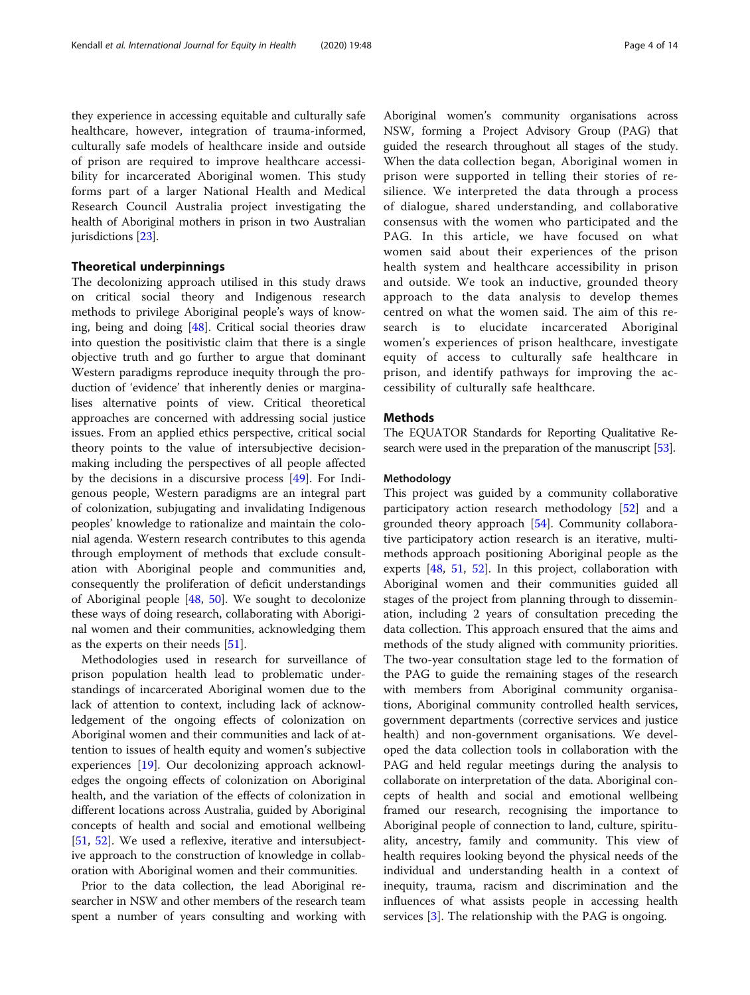they experience in accessing equitable and culturally safe healthcare, however, integration of trauma-informed, culturally safe models of healthcare inside and outside of prison are required to improve healthcare accessibility for incarcerated Aboriginal women. This study forms part of a larger National Health and Medical Research Council Australia project investigating the health of Aboriginal mothers in prison in two Australian jurisdictions [\[23\]](#page-12-0).

#### Theoretical underpinnings

The decolonizing approach utilised in this study draws on critical social theory and Indigenous research methods to privilege Aboriginal people's ways of knowing, being and doing [[48](#page-12-0)]. Critical social theories draw into question the positivistic claim that there is a single objective truth and go further to argue that dominant Western paradigms reproduce inequity through the production of 'evidence' that inherently denies or marginalises alternative points of view. Critical theoretical approaches are concerned with addressing social justice issues. From an applied ethics perspective, critical social theory points to the value of intersubjective decisionmaking including the perspectives of all people affected by the decisions in a discursive process [[49\]](#page-12-0). For Indigenous people, Western paradigms are an integral part of colonization, subjugating and invalidating Indigenous peoples' knowledge to rationalize and maintain the colonial agenda. Western research contributes to this agenda through employment of methods that exclude consultation with Aboriginal people and communities and, consequently the proliferation of deficit understandings of Aboriginal people [[48,](#page-12-0) [50\]](#page-12-0). We sought to decolonize these ways of doing research, collaborating with Aboriginal women and their communities, acknowledging them as the experts on their needs [[51\]](#page-12-0).

Methodologies used in research for surveillance of prison population health lead to problematic understandings of incarcerated Aboriginal women due to the lack of attention to context, including lack of acknowledgement of the ongoing effects of colonization on Aboriginal women and their communities and lack of attention to issues of health equity and women's subjective experiences [\[19](#page-12-0)]. Our decolonizing approach acknowledges the ongoing effects of colonization on Aboriginal health, and the variation of the effects of colonization in different locations across Australia, guided by Aboriginal concepts of health and social and emotional wellbeing [[51,](#page-12-0) [52](#page-12-0)]. We used a reflexive, iterative and intersubjective approach to the construction of knowledge in collaboration with Aboriginal women and their communities.

Prior to the data collection, the lead Aboriginal researcher in NSW and other members of the research team spent a number of years consulting and working with

Aboriginal women's community organisations across NSW, forming a Project Advisory Group (PAG) that guided the research throughout all stages of the study. When the data collection began, Aboriginal women in prison were supported in telling their stories of resilience. We interpreted the data through a process of dialogue, shared understanding, and collaborative consensus with the women who participated and the PAG. In this article, we have focused on what women said about their experiences of the prison health system and healthcare accessibility in prison and outside. We took an inductive, grounded theory approach to the data analysis to develop themes centred on what the women said. The aim of this research is to elucidate incarcerated Aboriginal women's experiences of prison healthcare, investigate equity of access to culturally safe healthcare in prison, and identify pathways for improving the accessibility of culturally safe healthcare.

#### Methods

The EQUATOR Standards for Reporting Qualitative Research were used in the preparation of the manuscript [\[53](#page-12-0)].

#### Methodology

This project was guided by a community collaborative participatory action research methodology [[52\]](#page-12-0) and a grounded theory approach [\[54](#page-12-0)]. Community collaborative participatory action research is an iterative, multimethods approach positioning Aboriginal people as the experts [[48,](#page-12-0) [51](#page-12-0), [52\]](#page-12-0). In this project, collaboration with Aboriginal women and their communities guided all stages of the project from planning through to dissemination, including 2 years of consultation preceding the data collection. This approach ensured that the aims and methods of the study aligned with community priorities. The two-year consultation stage led to the formation of the PAG to guide the remaining stages of the research with members from Aboriginal community organisations, Aboriginal community controlled health services, government departments (corrective services and justice health) and non-government organisations. We developed the data collection tools in collaboration with the PAG and held regular meetings during the analysis to collaborate on interpretation of the data. Aboriginal concepts of health and social and emotional wellbeing framed our research, recognising the importance to Aboriginal people of connection to land, culture, spirituality, ancestry, family and community. This view of health requires looking beyond the physical needs of the individual and understanding health in a context of inequity, trauma, racism and discrimination and the influences of what assists people in accessing health services [\[3](#page-11-0)]. The relationship with the PAG is ongoing.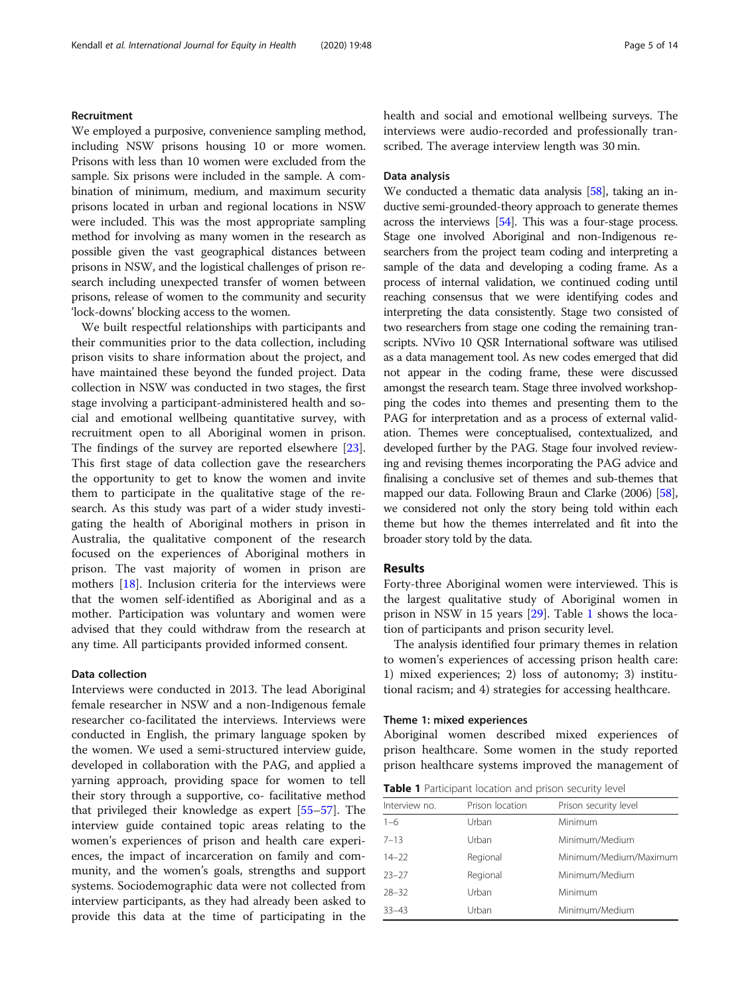#### Recruitment

We employed a purposive, convenience sampling method, including NSW prisons housing 10 or more women. Prisons with less than 10 women were excluded from the sample. Six prisons were included in the sample. A combination of minimum, medium, and maximum security prisons located in urban and regional locations in NSW were included. This was the most appropriate sampling method for involving as many women in the research as possible given the vast geographical distances between prisons in NSW, and the logistical challenges of prison research including unexpected transfer of women between prisons, release of women to the community and security 'lock-downs' blocking access to the women.

We built respectful relationships with participants and their communities prior to the data collection, including prison visits to share information about the project, and have maintained these beyond the funded project. Data collection in NSW was conducted in two stages, the first stage involving a participant-administered health and social and emotional wellbeing quantitative survey, with recruitment open to all Aboriginal women in prison. The findings of the survey are reported elsewhere [\[23](#page-12-0)]. This first stage of data collection gave the researchers the opportunity to get to know the women and invite them to participate in the qualitative stage of the research. As this study was part of a wider study investigating the health of Aboriginal mothers in prison in Australia, the qualitative component of the research focused on the experiences of Aboriginal mothers in prison. The vast majority of women in prison are mothers [[18\]](#page-12-0). Inclusion criteria for the interviews were that the women self-identified as Aboriginal and as a mother. Participation was voluntary and women were advised that they could withdraw from the research at any time. All participants provided informed consent.

#### Data collection

Interviews were conducted in 2013. The lead Aboriginal female researcher in NSW and a non-Indigenous female researcher co-facilitated the interviews. Interviews were conducted in English, the primary language spoken by the women. We used a semi-structured interview guide, developed in collaboration with the PAG, and applied a yarning approach, providing space for women to tell their story through a supportive, co- facilitative method that privileged their knowledge as expert [[55](#page-12-0)–[57\]](#page-12-0). The interview guide contained topic areas relating to the women's experiences of prison and health care experiences, the impact of incarceration on family and community, and the women's goals, strengths and support systems. Sociodemographic data were not collected from interview participants, as they had already been asked to provide this data at the time of participating in the

#### Data analysis

We conducted a thematic data analysis [[58](#page-12-0)], taking an inductive semi-grounded-theory approach to generate themes across the interviews [\[54\]](#page-12-0). This was a four-stage process. Stage one involved Aboriginal and non-Indigenous researchers from the project team coding and interpreting a sample of the data and developing a coding frame. As a process of internal validation, we continued coding until reaching consensus that we were identifying codes and interpreting the data consistently. Stage two consisted of two researchers from stage one coding the remaining transcripts. NVivo 10 QSR International software was utilised as a data management tool. As new codes emerged that did not appear in the coding frame, these were discussed amongst the research team. Stage three involved workshopping the codes into themes and presenting them to the PAG for interpretation and as a process of external validation. Themes were conceptualised, contextualized, and developed further by the PAG. Stage four involved reviewing and revising themes incorporating the PAG advice and finalising a conclusive set of themes and sub-themes that mapped our data. Following Braun and Clarke (2006) [\[58](#page-12-0)], we considered not only the story being told within each theme but how the themes interrelated and fit into the broader story told by the data.

#### Results

Forty-three Aboriginal women were interviewed. This is the largest qualitative study of Aboriginal women in prison in NSW in 15 years [[29\]](#page-12-0). Table 1 shows the location of participants and prison security level.

The analysis identified four primary themes in relation to women's experiences of accessing prison health care: 1) mixed experiences; 2) loss of autonomy; 3) institutional racism; and 4) strategies for accessing healthcare.

#### Theme 1: mixed experiences

Aboriginal women described mixed experiences of prison healthcare. Some women in the study reported prison healthcare systems improved the management of

| <b>Table 1</b> Participant location and prison security level |  |  |  |  |  |
|---------------------------------------------------------------|--|--|--|--|--|
|---------------------------------------------------------------|--|--|--|--|--|

| Interview no. | Prison location | Prison security level  |  |  |
|---------------|-----------------|------------------------|--|--|
| $1 - 6$       | Urban           | Minimum                |  |  |
| $7 - 13$      | Urban           | Minimum/Medium         |  |  |
| $14 - 22$     | Regional        | Minimum/Medium/Maximum |  |  |
| $23 - 27$     | Regional        | Minimum/Medium         |  |  |
| $28 - 32$     | Urban           | Minimum                |  |  |
| $33 - 43$     | Urban           | Minimum/Medium         |  |  |
|               |                 |                        |  |  |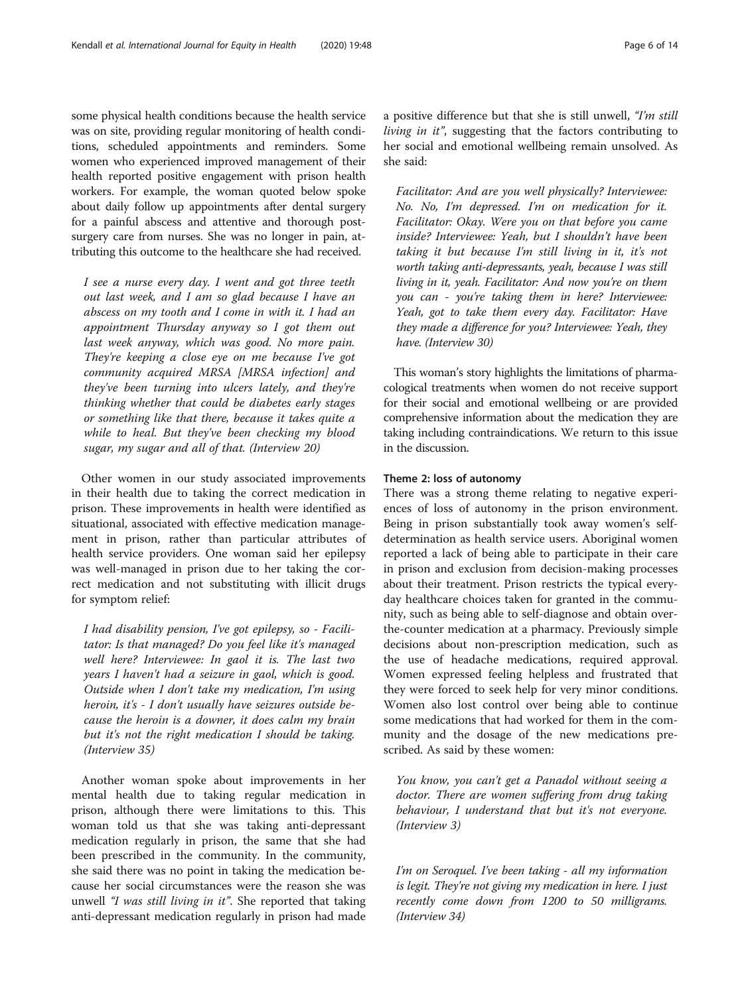some physical health conditions because the health service was on site, providing regular monitoring of health conditions, scheduled appointments and reminders. Some women who experienced improved management of their health reported positive engagement with prison health workers. For example, the woman quoted below spoke about daily follow up appointments after dental surgery for a painful abscess and attentive and thorough postsurgery care from nurses. She was no longer in pain, attributing this outcome to the healthcare she had received.

I see a nurse every day. I went and got three teeth out last week, and I am so glad because I have an abscess on my tooth and I come in with it. I had an appointment Thursday anyway so I got them out last week anyway, which was good. No more pain. They're keeping a close eye on me because I've got community acquired MRSA [MRSA infection] and they've been turning into ulcers lately, and they're thinking whether that could be diabetes early stages or something like that there, because it takes quite a while to heal. But they've been checking my blood sugar, my sugar and all of that. (Interview 20)

Other women in our study associated improvements in their health due to taking the correct medication in prison. These improvements in health were identified as situational, associated with effective medication management in prison, rather than particular attributes of health service providers. One woman said her epilepsy was well-managed in prison due to her taking the correct medication and not substituting with illicit drugs for symptom relief:

I had disability pension, I've got epilepsy, so - Facilitator: Is that managed? Do you feel like it's managed well here? Interviewee: In gaol it is. The last two years I haven't had a seizure in gaol, which is good. Outside when I don't take my medication, I'm using heroin, it's - I don't usually have seizures outside because the heroin is a downer, it does calm my brain but it's not the right medication I should be taking. (Interview 35)

Another woman spoke about improvements in her mental health due to taking regular medication in prison, although there were limitations to this. This woman told us that she was taking anti-depressant medication regularly in prison, the same that she had been prescribed in the community. In the community, she said there was no point in taking the medication because her social circumstances were the reason she was unwell "I was still living in it". She reported that taking anti-depressant medication regularly in prison had made a positive difference but that she is still unwell, "I'm still living in it", suggesting that the factors contributing to her social and emotional wellbeing remain unsolved. As she said:

Facilitator: And are you well physically? Interviewee: No. No, I'm depressed. I'm on medication for it. Facilitator: Okay. Were you on that before you came inside? Interviewee: Yeah, but I shouldn't have been taking it but because I'm still living in it, it's not worth taking anti-depressants, yeah, because I was still living in it, yeah. Facilitator: And now you're on them you can - you're taking them in here? Interviewee: Yeah, got to take them every day. Facilitator: Have they made a difference for you? Interviewee: Yeah, they have. (Interview 30)

This woman's story highlights the limitations of pharmacological treatments when women do not receive support for their social and emotional wellbeing or are provided comprehensive information about the medication they are taking including contraindications. We return to this issue in the discussion.

#### Theme 2: loss of autonomy

There was a strong theme relating to negative experiences of loss of autonomy in the prison environment. Being in prison substantially took away women's selfdetermination as health service users. Aboriginal women reported a lack of being able to participate in their care in prison and exclusion from decision-making processes about their treatment. Prison restricts the typical everyday healthcare choices taken for granted in the community, such as being able to self-diagnose and obtain overthe-counter medication at a pharmacy. Previously simple decisions about non-prescription medication, such as the use of headache medications, required approval. Women expressed feeling helpless and frustrated that they were forced to seek help for very minor conditions. Women also lost control over being able to continue some medications that had worked for them in the community and the dosage of the new medications prescribed. As said by these women:

You know, you can't get a Panadol without seeing a doctor. There are women suffering from drug taking behaviour, I understand that but it's not everyone. (Interview 3)

I'm on Seroquel. I've been taking - all my information is legit. They're not giving my medication in here. I just recently come down from 1200 to 50 milligrams. (Interview 34)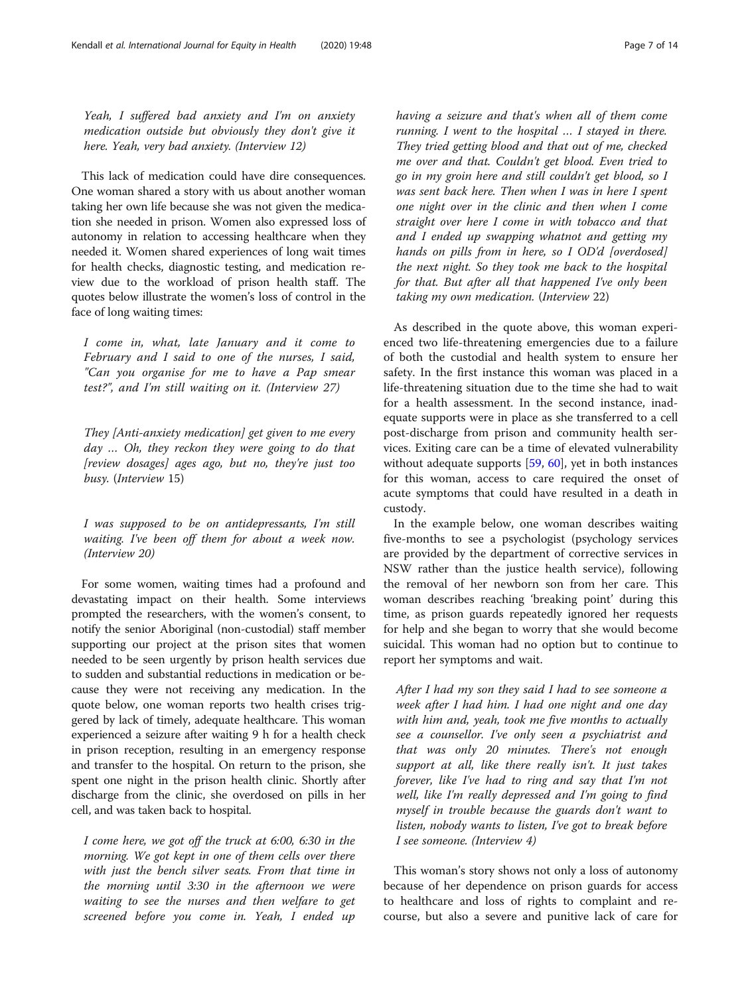Yeah, I suffered bad anxiety and I'm on anxiety medication outside but obviously they don't give it here. Yeah, very bad anxiety. (Interview 12)

This lack of medication could have dire consequences. One woman shared a story with us about another woman taking her own life because she was not given the medication she needed in prison. Women also expressed loss of autonomy in relation to accessing healthcare when they needed it. Women shared experiences of long wait times for health checks, diagnostic testing, and medication review due to the workload of prison health staff. The quotes below illustrate the women's loss of control in the face of long waiting times:

I come in, what, late January and it come to February and I said to one of the nurses, I said, "Can you organise for me to have a Pap smear test?", and I'm still waiting on it. (Interview 27)

They [Anti-anxiety medication] get given to me every day … Oh, they reckon they were going to do that [review dosages] ages ago, but no, they're just too busy. (Interview 15)

I was supposed to be on antidepressants, I'm still waiting. I've been off them for about a week now. (Interview 20)

For some women, waiting times had a profound and devastating impact on their health. Some interviews prompted the researchers, with the women's consent, to notify the senior Aboriginal (non-custodial) staff member supporting our project at the prison sites that women needed to be seen urgently by prison health services due to sudden and substantial reductions in medication or because they were not receiving any medication. In the quote below, one woman reports two health crises triggered by lack of timely, adequate healthcare. This woman experienced a seizure after waiting 9 h for a health check in prison reception, resulting in an emergency response and transfer to the hospital. On return to the prison, she spent one night in the prison health clinic. Shortly after discharge from the clinic, she overdosed on pills in her cell, and was taken back to hospital.

I come here, we got off the truck at 6:00, 6:30 in the morning. We got kept in one of them cells over there with just the bench silver seats. From that time in the morning until 3:30 in the afternoon we were waiting to see the nurses and then welfare to get screened before you come in. Yeah, I ended up

having a seizure and that's when all of them come running. I went to the hospital … I stayed in there. They tried getting blood and that out of me, checked me over and that. Couldn't get blood. Even tried to go in my groin here and still couldn't get blood, so I was sent back here. Then when I was in here I spent one night over in the clinic and then when I come straight over here I come in with tobacco and that and I ended up swapping whatnot and getting my hands on pills from in here, so I OD'd [overdosed] the next night. So they took me back to the hospital for that. But after all that happened I've only been taking my own medication. (Interview 22)

As described in the quote above, this woman experienced two life-threatening emergencies due to a failure of both the custodial and health system to ensure her safety. In the first instance this woman was placed in a life-threatening situation due to the time she had to wait for a health assessment. In the second instance, inadequate supports were in place as she transferred to a cell post-discharge from prison and community health services. Exiting care can be a time of elevated vulnerability without adequate supports [\[59](#page-12-0), [60](#page-12-0)], yet in both instances for this woman, access to care required the onset of acute symptoms that could have resulted in a death in custody.

In the example below, one woman describes waiting five-months to see a psychologist (psychology services are provided by the department of corrective services in NSW rather than the justice health service), following the removal of her newborn son from her care. This woman describes reaching 'breaking point' during this time, as prison guards repeatedly ignored her requests for help and she began to worry that she would become suicidal. This woman had no option but to continue to report her symptoms and wait.

After I had my son they said I had to see someone a week after I had him. I had one night and one day with him and, yeah, took me five months to actually see a counsellor. I've only seen a psychiatrist and that was only 20 minutes. There's not enough support at all, like there really isn't. It just takes forever, like I've had to ring and say that I'm not well, like I'm really depressed and I'm going to find myself in trouble because the guards don't want to listen, nobody wants to listen, I've got to break before I see someone. (Interview 4)

This woman's story shows not only a loss of autonomy because of her dependence on prison guards for access to healthcare and loss of rights to complaint and recourse, but also a severe and punitive lack of care for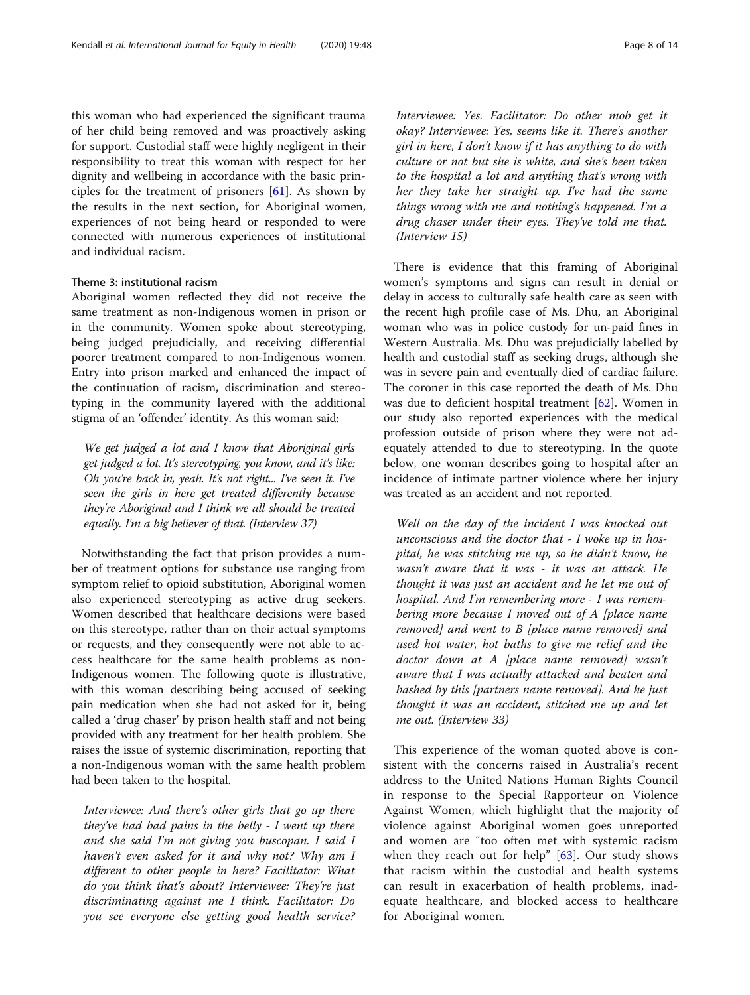this woman who had experienced the significant trauma of her child being removed and was proactively asking for support. Custodial staff were highly negligent in their responsibility to treat this woman with respect for her dignity and wellbeing in accordance with the basic principles for the treatment of prisoners [[61\]](#page-13-0). As shown by the results in the next section, for Aboriginal women, experiences of not being heard or responded to were connected with numerous experiences of institutional and individual racism.

#### Theme 3: institutional racism

Aboriginal women reflected they did not receive the same treatment as non-Indigenous women in prison or in the community. Women spoke about stereotyping, being judged prejudicially, and receiving differential poorer treatment compared to non-Indigenous women. Entry into prison marked and enhanced the impact of the continuation of racism, discrimination and stereotyping in the community layered with the additional stigma of an 'offender' identity. As this woman said:

We get judged a lot and I know that Aboriginal girls get judged a lot. It's stereotyping, you know, and it's like: Oh you're back in, yeah. It's not right... I've seen it. I've seen the girls in here get treated differently because they're Aboriginal and I think we all should be treated equally. I'm a big believer of that. (Interview 37)

Notwithstanding the fact that prison provides a number of treatment options for substance use ranging from symptom relief to opioid substitution, Aboriginal women also experienced stereotyping as active drug seekers. Women described that healthcare decisions were based on this stereotype, rather than on their actual symptoms or requests, and they consequently were not able to access healthcare for the same health problems as non-Indigenous women. The following quote is illustrative, with this woman describing being accused of seeking pain medication when she had not asked for it, being called a 'drug chaser' by prison health staff and not being provided with any treatment for her health problem. She raises the issue of systemic discrimination, reporting that a non-Indigenous woman with the same health problem had been taken to the hospital.

Interviewee: And there's other girls that go up there they've had bad pains in the belly - I went up there and she said I'm not giving you buscopan. I said I haven't even asked for it and why not? Why am I different to other people in here? Facilitator: What do you think that's about? Interviewee: They're just discriminating against me I think. Facilitator: Do you see everyone else getting good health service? Interviewee: Yes. Facilitator: Do other mob get it okay? Interviewee: Yes, seems like it. There's another girl in here, I don't know if it has anything to do with culture or not but she is white, and she's been taken to the hospital a lot and anything that's wrong with her they take her straight up. I've had the same things wrong with me and nothing's happened. I'm a drug chaser under their eyes. They've told me that. (Interview 15)

There is evidence that this framing of Aboriginal women's symptoms and signs can result in denial or delay in access to culturally safe health care as seen with the recent high profile case of Ms. Dhu, an Aboriginal woman who was in police custody for un-paid fines in Western Australia. Ms. Dhu was prejudicially labelled by health and custodial staff as seeking drugs, although she was in severe pain and eventually died of cardiac failure. The coroner in this case reported the death of Ms. Dhu was due to deficient hospital treatment [\[62\]](#page-13-0). Women in our study also reported experiences with the medical profession outside of prison where they were not adequately attended to due to stereotyping. In the quote below, one woman describes going to hospital after an incidence of intimate partner violence where her injury was treated as an accident and not reported.

Well on the day of the incident I was knocked out unconscious and the doctor that - I woke up in hospital, he was stitching me up, so he didn't know, he wasn't aware that it was - it was an attack. He thought it was just an accident and he let me out of hospital. And I'm remembering more - I was remembering more because I moved out of A [place name removed] and went to B [place name removed] and used hot water, hot baths to give me relief and the doctor down at A [place name removed] wasn't aware that I was actually attacked and beaten and bashed by this [partners name removed]. And he just thought it was an accident, stitched me up and let me out. (Interview 33)

This experience of the woman quoted above is consistent with the concerns raised in Australia's recent address to the United Nations Human Rights Council in response to the Special Rapporteur on Violence Against Women, which highlight that the majority of violence against Aboriginal women goes unreported and women are "too often met with systemic racism when they reach out for help" [[63](#page-13-0)]. Our study shows that racism within the custodial and health systems can result in exacerbation of health problems, inadequate healthcare, and blocked access to healthcare for Aboriginal women.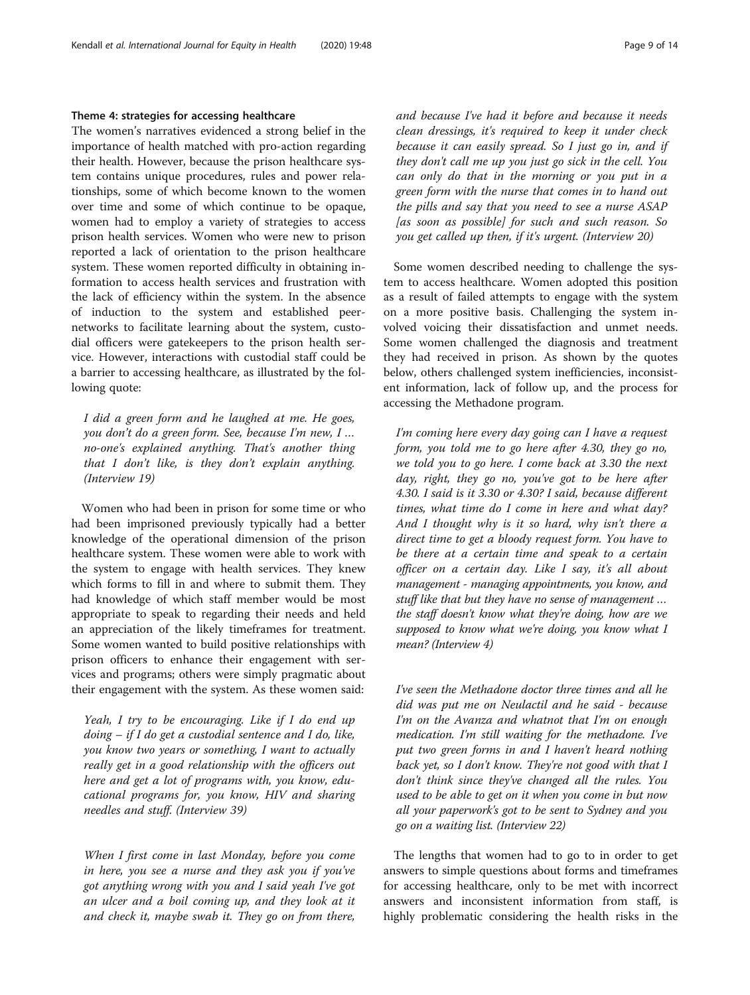#### Theme 4: strategies for accessing healthcare

The women's narratives evidenced a strong belief in the importance of health matched with pro-action regarding their health. However, because the prison healthcare system contains unique procedures, rules and power relationships, some of which become known to the women over time and some of which continue to be opaque, women had to employ a variety of strategies to access prison health services. Women who were new to prison reported a lack of orientation to the prison healthcare system. These women reported difficulty in obtaining information to access health services and frustration with the lack of efficiency within the system. In the absence of induction to the system and established peernetworks to facilitate learning about the system, custodial officers were gatekeepers to the prison health service. However, interactions with custodial staff could be a barrier to accessing healthcare, as illustrated by the following quote:

I did a green form and he laughed at me. He goes, you don't do a green form. See, because I'm new, I … no-one's explained anything. That's another thing that I don't like, is they don't explain anything. (Interview 19)

Women who had been in prison for some time or who had been imprisoned previously typically had a better knowledge of the operational dimension of the prison healthcare system. These women were able to work with the system to engage with health services. They knew which forms to fill in and where to submit them. They had knowledge of which staff member would be most appropriate to speak to regarding their needs and held an appreciation of the likely timeframes for treatment. Some women wanted to build positive relationships with prison officers to enhance their engagement with services and programs; others were simply pragmatic about their engagement with the system. As these women said:

Yeah, I try to be encouraging. Like if I do end up  $\phi$  doing – if I do get a custodial sentence and I do, like, you know two years or something, I want to actually really get in a good relationship with the officers out here and get a lot of programs with, you know, educational programs for, you know, HIV and sharing needles and stuff. (Interview 39)

When I first come in last Monday, before you come in here, you see a nurse and they ask you if you've got anything wrong with you and I said yeah I've got an ulcer and a boil coming up, and they look at it and check it, maybe swab it. They go on from there,

and because I've had it before and because it needs clean dressings, it's required to keep it under check because it can easily spread. So I just go in, and if they don't call me up you just go sick in the cell. You can only do that in the morning or you put in a green form with the nurse that comes in to hand out the pills and say that you need to see a nurse ASAP [as soon as possible] for such and such reason. So you get called up then, if it's urgent. (Interview 20)

Some women described needing to challenge the system to access healthcare. Women adopted this position as a result of failed attempts to engage with the system on a more positive basis. Challenging the system involved voicing their dissatisfaction and unmet needs. Some women challenged the diagnosis and treatment they had received in prison. As shown by the quotes below, others challenged system inefficiencies, inconsistent information, lack of follow up, and the process for accessing the Methadone program.

I'm coming here every day going can I have a request form, you told me to go here after 4.30, they go no, we told you to go here. I come back at 3.30 the next day, right, they go no, you've got to be here after 4.30. I said is it 3.30 or 4.30? I said, because different times, what time do I come in here and what day? And I thought why is it so hard, why isn't there a direct time to get a bloody request form. You have to be there at a certain time and speak to a certain officer on a certain day. Like I say, it's all about management - managing appointments, you know, and stuff like that but they have no sense of management … the staff doesn't know what they're doing, how are we supposed to know what we're doing, you know what I mean? (Interview 4)

I've seen the Methadone doctor three times and all he did was put me on Neulactil and he said - because I'm on the Avanza and whatnot that I'm on enough medication. I'm still waiting for the methadone. I've put two green forms in and I haven't heard nothing back yet, so I don't know. They're not good with that I don't think since they've changed all the rules. You used to be able to get on it when you come in but now all your paperwork's got to be sent to Sydney and you go on a waiting list. (Interview 22)

The lengths that women had to go to in order to get answers to simple questions about forms and timeframes for accessing healthcare, only to be met with incorrect answers and inconsistent information from staff, is highly problematic considering the health risks in the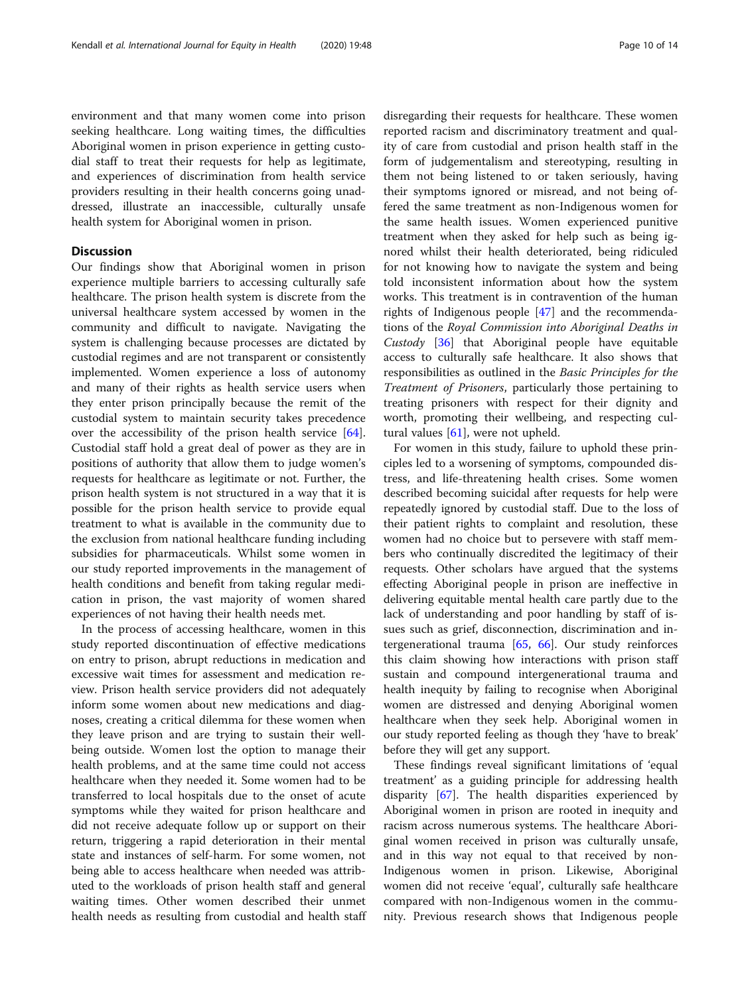environment and that many women come into prison seeking healthcare. Long waiting times, the difficulties Aboriginal women in prison experience in getting custodial staff to treat their requests for help as legitimate, and experiences of discrimination from health service providers resulting in their health concerns going unaddressed, illustrate an inaccessible, culturally unsafe health system for Aboriginal women in prison.

#### **Discussion**

Our findings show that Aboriginal women in prison experience multiple barriers to accessing culturally safe healthcare. The prison health system is discrete from the universal healthcare system accessed by women in the community and difficult to navigate. Navigating the system is challenging because processes are dictated by custodial regimes and are not transparent or consistently implemented. Women experience a loss of autonomy and many of their rights as health service users when they enter prison principally because the remit of the custodial system to maintain security takes precedence over the accessibility of the prison health service [\[64](#page-13-0)]. Custodial staff hold a great deal of power as they are in positions of authority that allow them to judge women's requests for healthcare as legitimate or not. Further, the prison health system is not structured in a way that it is possible for the prison health service to provide equal treatment to what is available in the community due to the exclusion from national healthcare funding including subsidies for pharmaceuticals. Whilst some women in our study reported improvements in the management of health conditions and benefit from taking regular medication in prison, the vast majority of women shared experiences of not having their health needs met.

In the process of accessing healthcare, women in this study reported discontinuation of effective medications on entry to prison, abrupt reductions in medication and excessive wait times for assessment and medication review. Prison health service providers did not adequately inform some women about new medications and diagnoses, creating a critical dilemma for these women when they leave prison and are trying to sustain their wellbeing outside. Women lost the option to manage their health problems, and at the same time could not access healthcare when they needed it. Some women had to be transferred to local hospitals due to the onset of acute symptoms while they waited for prison healthcare and did not receive adequate follow up or support on their return, triggering a rapid deterioration in their mental state and instances of self-harm. For some women, not being able to access healthcare when needed was attributed to the workloads of prison health staff and general waiting times. Other women described their unmet health needs as resulting from custodial and health staff

disregarding their requests for healthcare. These women reported racism and discriminatory treatment and quality of care from custodial and prison health staff in the form of judgementalism and stereotyping, resulting in them not being listened to or taken seriously, having their symptoms ignored or misread, and not being offered the same treatment as non-Indigenous women for the same health issues. Women experienced punitive treatment when they asked for help such as being ignored whilst their health deteriorated, being ridiculed for not knowing how to navigate the system and being told inconsistent information about how the system works. This treatment is in contravention of the human rights of Indigenous people [\[47\]](#page-12-0) and the recommendations of the Royal Commission into Aboriginal Deaths in Custody [[36\]](#page-12-0) that Aboriginal people have equitable access to culturally safe healthcare. It also shows that responsibilities as outlined in the Basic Principles for the Treatment of Prisoners, particularly those pertaining to treating prisoners with respect for their dignity and worth, promoting their wellbeing, and respecting cultural values [[61\]](#page-13-0), were not upheld.

For women in this study, failure to uphold these principles led to a worsening of symptoms, compounded distress, and life-threatening health crises. Some women described becoming suicidal after requests for help were repeatedly ignored by custodial staff. Due to the loss of their patient rights to complaint and resolution, these women had no choice but to persevere with staff members who continually discredited the legitimacy of their requests. Other scholars have argued that the systems effecting Aboriginal people in prison are ineffective in delivering equitable mental health care partly due to the lack of understanding and poor handling by staff of issues such as grief, disconnection, discrimination and intergenerational trauma [[65,](#page-13-0) [66](#page-13-0)]. Our study reinforces this claim showing how interactions with prison staff sustain and compound intergenerational trauma and health inequity by failing to recognise when Aboriginal women are distressed and denying Aboriginal women healthcare when they seek help. Aboriginal women in our study reported feeling as though they 'have to break' before they will get any support.

These findings reveal significant limitations of 'equal treatment' as a guiding principle for addressing health disparity [\[67](#page-13-0)]. The health disparities experienced by Aboriginal women in prison are rooted in inequity and racism across numerous systems. The healthcare Aboriginal women received in prison was culturally unsafe, and in this way not equal to that received by non-Indigenous women in prison. Likewise, Aboriginal women did not receive 'equal', culturally safe healthcare compared with non-Indigenous women in the community. Previous research shows that Indigenous people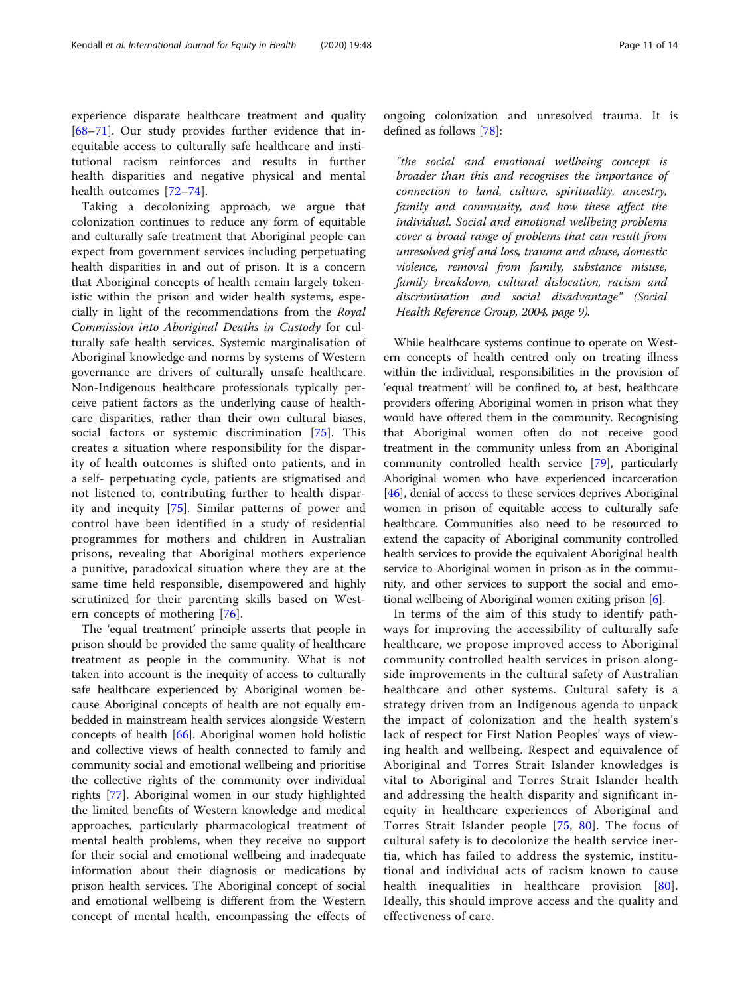experience disparate healthcare treatment and quality [[68](#page-13-0)–[71](#page-13-0)]. Our study provides further evidence that inequitable access to culturally safe healthcare and institutional racism reinforces and results in further health disparities and negative physical and mental health outcomes [[72](#page-13-0)–[74\]](#page-13-0).

Taking a decolonizing approach, we argue that colonization continues to reduce any form of equitable and culturally safe treatment that Aboriginal people can expect from government services including perpetuating health disparities in and out of prison. It is a concern that Aboriginal concepts of health remain largely tokenistic within the prison and wider health systems, especially in light of the recommendations from the Royal Commission into Aboriginal Deaths in Custody for culturally safe health services. Systemic marginalisation of Aboriginal knowledge and norms by systems of Western governance are drivers of culturally unsafe healthcare. Non-Indigenous healthcare professionals typically perceive patient factors as the underlying cause of healthcare disparities, rather than their own cultural biases, social factors or systemic discrimination [[75\]](#page-13-0). This creates a situation where responsibility for the disparity of health outcomes is shifted onto patients, and in a self- perpetuating cycle, patients are stigmatised and not listened to, contributing further to health disparity and inequity [[75\]](#page-13-0). Similar patterns of power and control have been identified in a study of residential programmes for mothers and children in Australian prisons, revealing that Aboriginal mothers experience a punitive, paradoxical situation where they are at the same time held responsible, disempowered and highly scrutinized for their parenting skills based on Western concepts of mothering [[76\]](#page-13-0).

The 'equal treatment' principle asserts that people in prison should be provided the same quality of healthcare treatment as people in the community. What is not taken into account is the inequity of access to culturally safe healthcare experienced by Aboriginal women because Aboriginal concepts of health are not equally embedded in mainstream health services alongside Western concepts of health [[66\]](#page-13-0). Aboriginal women hold holistic and collective views of health connected to family and community social and emotional wellbeing and prioritise the collective rights of the community over individual rights [\[77](#page-13-0)]. Aboriginal women in our study highlighted the limited benefits of Western knowledge and medical approaches, particularly pharmacological treatment of mental health problems, when they receive no support for their social and emotional wellbeing and inadequate information about their diagnosis or medications by prison health services. The Aboriginal concept of social and emotional wellbeing is different from the Western concept of mental health, encompassing the effects of ongoing colonization and unresolved trauma. It is defined as follows [[78\]](#page-13-0):

"the social and emotional wellbeing concept is broader than this and recognises the importance of connection to land, culture, spirituality, ancestry, family and community, and how these affect the individual. Social and emotional wellbeing problems cover a broad range of problems that can result from unresolved grief and loss, trauma and abuse, domestic violence, removal from family, substance misuse, family breakdown, cultural dislocation, racism and discrimination and social disadvantage" (Social Health Reference Group, 2004, page 9).

While healthcare systems continue to operate on Western concepts of health centred only on treating illness within the individual, responsibilities in the provision of 'equal treatment' will be confined to, at best, healthcare providers offering Aboriginal women in prison what they would have offered them in the community. Recognising that Aboriginal women often do not receive good treatment in the community unless from an Aboriginal community controlled health service [\[79\]](#page-13-0), particularly Aboriginal women who have experienced incarceration [[46](#page-12-0)], denial of access to these services deprives Aboriginal women in prison of equitable access to culturally safe healthcare. Communities also need to be resourced to extend the capacity of Aboriginal community controlled health services to provide the equivalent Aboriginal health service to Aboriginal women in prison as in the community, and other services to support the social and emotional wellbeing of Aboriginal women exiting prison [\[6](#page-11-0)].

In terms of the aim of this study to identify pathways for improving the accessibility of culturally safe healthcare, we propose improved access to Aboriginal community controlled health services in prison alongside improvements in the cultural safety of Australian healthcare and other systems. Cultural safety is a strategy driven from an Indigenous agenda to unpack the impact of colonization and the health system's lack of respect for First Nation Peoples' ways of viewing health and wellbeing. Respect and equivalence of Aboriginal and Torres Strait Islander knowledges is vital to Aboriginal and Torres Strait Islander health and addressing the health disparity and significant inequity in healthcare experiences of Aboriginal and Torres Strait Islander people [\[75,](#page-13-0) [80](#page-13-0)]. The focus of cultural safety is to decolonize the health service inertia, which has failed to address the systemic, institutional and individual acts of racism known to cause health inequalities in healthcare provision [[80](#page-13-0)]. Ideally, this should improve access and the quality and effectiveness of care.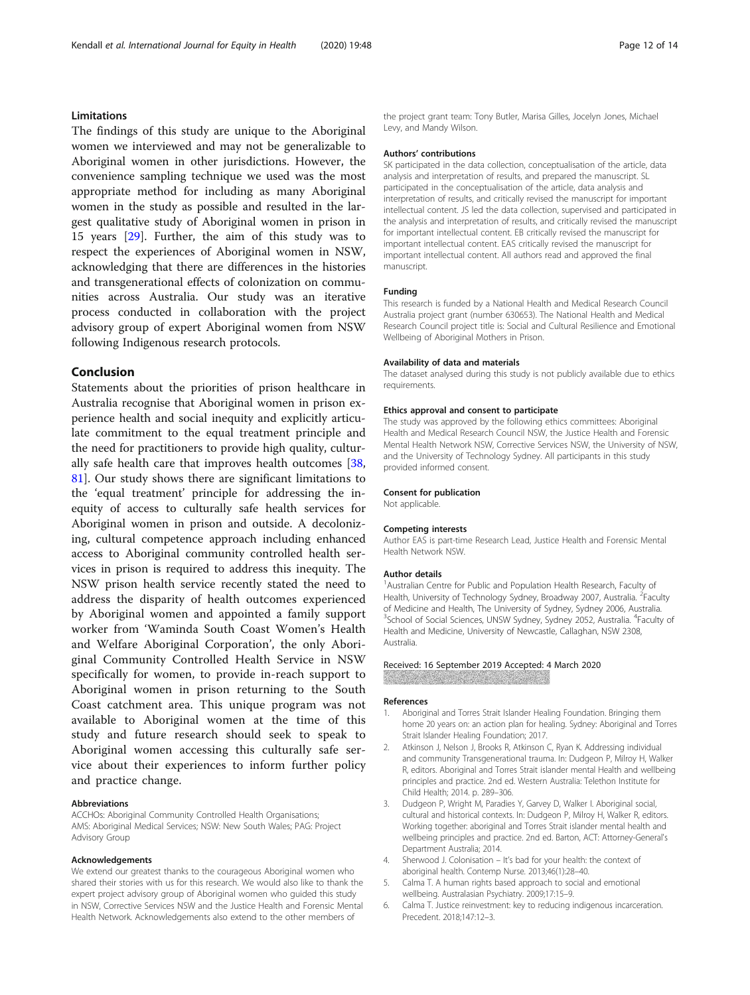#### <span id="page-11-0"></span>Limitations

The findings of this study are unique to the Aboriginal women we interviewed and may not be generalizable to Aboriginal women in other jurisdictions. However, the convenience sampling technique we used was the most appropriate method for including as many Aboriginal women in the study as possible and resulted in the largest qualitative study of Aboriginal women in prison in 15 years [[29](#page-12-0)]. Further, the aim of this study was to respect the experiences of Aboriginal women in NSW, acknowledging that there are differences in the histories and transgenerational effects of colonization on communities across Australia. Our study was an iterative process conducted in collaboration with the project advisory group of expert Aboriginal women from NSW following Indigenous research protocols.

#### Conclusion

Statements about the priorities of prison healthcare in Australia recognise that Aboriginal women in prison experience health and social inequity and explicitly articulate commitment to the equal treatment principle and the need for practitioners to provide high quality, culturally safe health care that improves health outcomes [[38](#page-12-0), [81\]](#page-13-0). Our study shows there are significant limitations to the 'equal treatment' principle for addressing the inequity of access to culturally safe health services for Aboriginal women in prison and outside. A decolonizing, cultural competence approach including enhanced access to Aboriginal community controlled health services in prison is required to address this inequity. The NSW prison health service recently stated the need to address the disparity of health outcomes experienced by Aboriginal women and appointed a family support worker from 'Waminda South Coast Women's Health and Welfare Aboriginal Corporation', the only Aboriginal Community Controlled Health Service in NSW specifically for women, to provide in-reach support to Aboriginal women in prison returning to the South Coast catchment area. This unique program was not available to Aboriginal women at the time of this study and future research should seek to speak to Aboriginal women accessing this culturally safe service about their experiences to inform further policy and practice change.

#### Abbreviations

ACCHOs: Aboriginal Community Controlled Health Organisations; AMS: Aboriginal Medical Services; NSW: New South Wales; PAG: Project Advisory Group

#### Acknowledgements

We extend our greatest thanks to the courageous Aboriginal women who shared their stories with us for this research. We would also like to thank the expert project advisory group of Aboriginal women who guided this study in NSW, Corrective Services NSW and the Justice Health and Forensic Mental Health Network. Acknowledgements also extend to the other members of

the project grant team: Tony Butler, Marisa Gilles, Jocelyn Jones, Michael Levy, and Mandy Wilson.

#### Authors' contributions

SK participated in the data collection, conceptualisation of the article, data analysis and interpretation of results, and prepared the manuscript. SL participated in the conceptualisation of the article, data analysis and interpretation of results, and critically revised the manuscript for important intellectual content. JS led the data collection, supervised and participated in the analysis and interpretation of results, and critically revised the manuscript for important intellectual content. EB critically revised the manuscript for important intellectual content. EAS critically revised the manuscript for important intellectual content. All authors read and approved the final manuscript.

#### Funding

This research is funded by a National Health and Medical Research Council Australia project grant (number 630653). The National Health and Medical Research Council project title is: Social and Cultural Resilience and Emotional Wellbeing of Aboriginal Mothers in Prison.

#### Availability of data and materials

The dataset analysed during this study is not publicly available due to ethics requirements.

#### Ethics approval and consent to participate

The study was approved by the following ethics committees: Aboriginal Health and Medical Research Council NSW, the Justice Health and Forensic Mental Health Network NSW, Corrective Services NSW, the University of NSW, and the University of Technology Sydney. All participants in this study provided informed consent.

#### Consent for publication

Not applicable.

#### Competing interests

Author EAS is part-time Research Lead, Justice Health and Forensic Mental Health Network NSW.

#### Author details

<sup>1</sup> Australian Centre for Public and Population Health Research, Faculty of Health, University of Technology Sydney, Broadway 2007, Australia. <sup>2</sup>Faculty of Medicine and Health, The University of Sydney, Sydney 2006, Australia. <sup>3</sup>School of Social Sciences, UNSW Sydney, Sydney 2052, Australia. <sup>4</sup>Faculty of Health and Medicine, University of Newcastle, Callaghan, NSW 2308, Australia.

#### Received: 16 September 2019 Accepted: 4 March 2020

#### References

- 1. Aboriginal and Torres Strait Islander Healing Foundation. Bringing them home 20 years on: an action plan for healing. Sydney: Aboriginal and Torres Strait Islander Healing Foundation; 2017.
- 2. Atkinson J, Nelson J, Brooks R, Atkinson C, Ryan K. Addressing individual and community Transgenerational trauma. In: Dudgeon P, Milroy H, Walker R, editors. Aboriginal and Torres Strait islander mental Health and wellbeing principles and practice. 2nd ed. Western Australia: Telethon Institute for Child Health; 2014. p. 289–306.
- 3. Dudgeon P, Wright M, Paradies Y, Garvey D, Walker I. Aboriginal social, cultural and historical contexts. In: Dudgeon P, Milroy H, Walker R, editors. Working together: aboriginal and Torres Strait islander mental health and wellbeing principles and practice. 2nd ed. Barton, ACT: Attorney-General's Department Australia; 2014.
- 4. Sherwood J. Colonisation It's bad for your health: the context of aboriginal health. Contemp Nurse. 2013;46(1):28–40.
- 5. Calma T. A human rights based approach to social and emotional wellbeing. Australasian Psychiatry. 2009;17:15–9.
- 6. Calma T. Justice reinvestment: key to reducing indigenous incarceration. Precedent. 2018;147:12–3.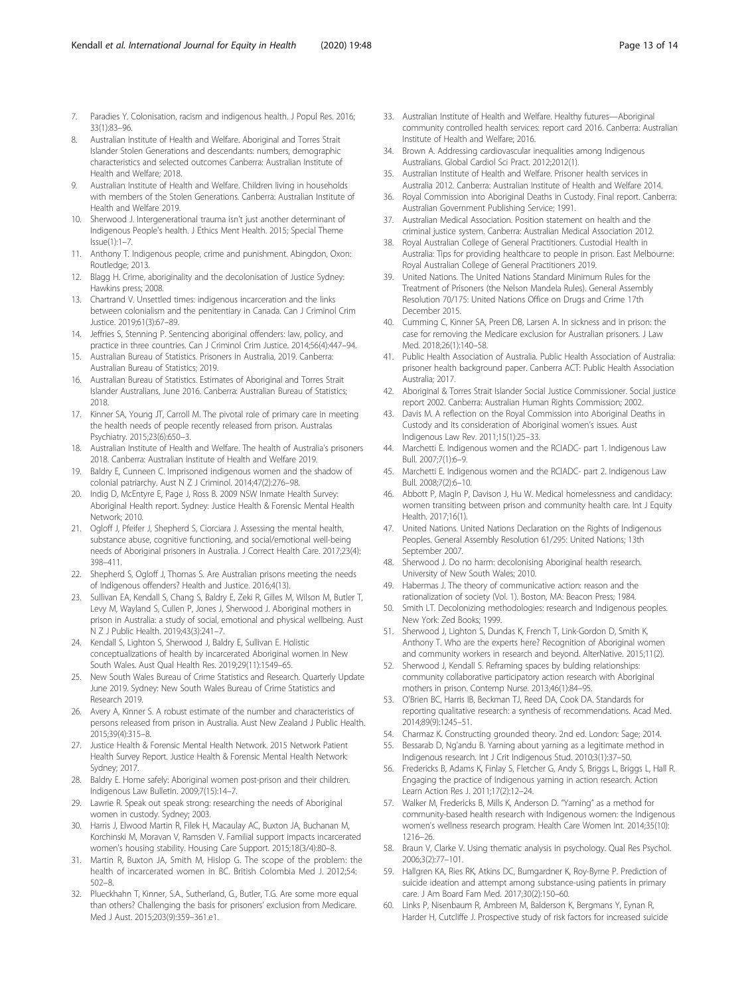- <span id="page-12-0"></span>7. Paradies Y. Colonisation, racism and indigenous health. J Popul Res. 2016; 33(1):83–96.
- 8. Australian Institute of Health and Welfare. Aboriginal and Torres Strait Islander Stolen Generations and descendants: numbers, demographic characteristics and selected outcomes Canberra: Australian Institute of Health and Welfare; 2018.
- Australian Institute of Health and Welfare. Children living in households with members of the Stolen Generations. Canberra: Australian Institute of Health and Welfare 2019.
- 10. Sherwood J. Intergenerational trauma isn't just another determinant of Indigenous People's health. J Ethics Ment Health. 2015; Special Theme Issue(1):1–7.
- 11. Anthony T. Indigenous people, crime and punishment. Abingdon, Oxon: Routledge; 2013.
- 12. Blagg H. Crime, aboriginality and the decolonisation of Justice Sydney: Hawkins press; 2008.
- 13. Chartrand V. Unsettled times: indigenous incarceration and the links between colonialism and the penitentiary in Canada. Can J Criminol Crim Justice. 2019;61(3):67–89.
- 14. Jeffries S, Stenning P. Sentencing aboriginal offenders: law, policy, and practice in three countries. Can J Criminol Crim Justice. 2014;56(4):447–94.
- 15. Australian Bureau of Statistics. Prisoners in Australia, 2019. Canberra: Australian Bureau of Statistics; 2019.
- 16. Australian Bureau of Statistics. Estimates of Aboriginal and Torres Strait Islander Australians, June 2016. Canberra: Australian Bureau of Statistics; 2018.
- 17. Kinner SA, Young JT, Carroll M. The pivotal role of primary care in meeting the health needs of people recently released from prison. Australas Psychiatry. 2015;23(6):650–3.
- 18. Australian Institute of Health and Welfare. The health of Australia's prisoners 2018. Canberra: Australian Institute of Health and Welfare 2019.
- 19. Baldry E, Cunneen C. Imprisoned indigenous women and the shadow of colonial patriarchy. Aust N Z J Criminol. 2014;47(2):276–98.
- 20. Indig D, McEntyre E, Page J, Ross B. 2009 NSW Inmate Health Survey: Aboriginal Health report. Sydney: Justice Health & Forensic Mental Health Network; 2010.
- 21. Ogloff J, Pfeifer J, Shepherd S, Ciorciara J. Assessing the mental health, substance abuse, cognitive functioning, and social/emotional well-being needs of Aboriginal prisoners in Australia. J Correct Health Care. 2017;23(4): 398–411.
- 22. Shepherd S, Ogloff J, Thomas S. Are Australian prisons meeting the needs of Indigenous offenders? Health and Justice. 2016;4(13).
- 23. Sullivan EA, Kendall S, Chang S, Baldry E, Zeki R, Gilles M, Wilson M, Butler T, Levy M, Wayland S, Cullen P, Jones J, Sherwood J. Aboriginal mothers in prison in Australia: a study of social, emotional and physical wellbeing. Aust N Z J Public Health. 2019;43(3):241–7.
- 24. Kendall S, Lighton S, Sherwood J, Baldry E, Sullivan E. Holistic conceptualizations of health by incarcerated Aboriginal women in New South Wales. Aust Qual Health Res. 2019;29(11):1549–65.
- 25. New South Wales Bureau of Crime Statistics and Research. Quarterly Update June 2019. Sydney: New South Wales Bureau of Crime Statistics and Research 2019.
- 26. Avery A, Kinner S. A robust estimate of the number and characteristics of persons released from prison in Australia. Aust New Zealand J Public Health. 2015;39(4):315–8.
- 27. Justice Health & Forensic Mental Health Network. 2015 Network Patient Health Survey Report. Justice Health & Forensic Mental Health Network: Sydney; 2017.
- 28. Baldry E. Home safely: Aboriginal women post-prison and their children. Indigenous Law Bulletin. 2009;7(15):14–7.
- 29. Lawrie R. Speak out speak strong: researching the needs of Aboriginal women in custody. Sydney; 2003.
- 30. Harris J, Elwood Martin R, Filek H, Macaulay AC, Buxton JA, Buchanan M, Korchinski M, Moravan V, Ramsden V. Familial support impacts incarcerated women's housing stability. Housing Care Support. 2015;18(3/4):80–8.
- 31. Martin R, Buxton JA, Smith M, Hislop G. The scope of the problem: the health of incarcerated women in BC. British Colombia Med J. 2012;54: 502–8.
- 32. Plueckhahn T, Kinner, S.A., Sutherland, G., Butler, T.G. Are some more equal than others? Challenging the basis for prisoners' exclusion from Medicare. Med J Aust. 2015;203(9):359–361.e1.
- 33. Australian Institute of Health and Welfare. Healthy futures—Aboriginal community controlled health services: report card 2016. Canberra: Australian Institute of Health and Welfare; 2016.
- 34. Brown A. Addressing cardiovascular inequalities among Indigenous Australians. Global Cardiol Sci Pract. 2012;2012(1).
- 35. Australian Institute of Health and Welfare. Prisoner health services in Australia 2012. Canberra: Australian Institute of Health and Welfare 2014.
- 36. Royal Commission into Aboriginal Deaths in Custody. Final report. Canberra: Australian Government Publishing Service; 1991.
- 37. Australian Medical Association. Position statement on health and the criminal justice system. Canberra: Australian Medical Association 2012.
- 38. Royal Australian College of General Practitioners. Custodial Health in Australia: Tips for providing healthcare to people in prison. East Melbourne: Royal Australian College of General Practitioners 2019.
- 39. United Nations. The United Nations Standard Minimum Rules for the Treatment of Prisoners (the Nelson Mandela Rules). General Assembly Resolution 70/175: United Nations Office on Drugs and Crime 17th December 2015.
- 40. Cumming C, Kinner SA, Preen DB, Larsen A. In sickness and in prison: the case for removing the Medicare exclusion for Australian prisoners. J Law Med. 2018;26(1):140–58.
- 41. Public Health Association of Australia. Public Health Association of Australia: prisoner health background paper. Canberra ACT: Public Health Association Australia; 2017.
- 42. Aboriginal & Torres Strait Islander Social Justice Commissioner. Social justice report 2002. Canberra: Australian Human Rights Commission; 2002.
- 43. Davis M. A reflection on the Royal Commission into Aboriginal Deaths in Custody and its consideration of Aboriginal women's issues. Aust Indigenous Law Rev. 2011;15(1):25–33.
- 44. Marchetti E. Indigenous women and the RCIADC- part 1. Indigenous Law Bull. 2007;7(1):6–9.
- 45. Marchetti E. Indigenous women and the RCIADC- part 2. Indigenous Law Bull. 2008;7(2):6–10.
- 46. Abbott P, Magin P, Davison J, Hu W. Medical homelessness and candidacy: women transiting between prison and community health care. Int J Equity Health. 2017;16(1).
- 47. United Nations. United Nations Declaration on the Rights of Indigenous Peoples. General Assembly Resolution 61/295: United Nations; 13th September 2007.
- 48. Sherwood J. Do no harm: decolonising Aboriginal health research. University of New South Wales; 2010.
- 49. Habermas J. The theory of communicative action: reason and the rationalization of society (Vol. 1). Boston, MA: Beacon Press; 1984.
- 50. Smith LT. Decolonizing methodologies: research and Indigenous peoples. New York: Zed Books; 1999.
- 51. Sherwood J, Lighton S, Dundas K, French T, Link-Gordon D, Smith K, Anthony T. Who are the experts here? Recognition of Aboriginal women and community workers in research and beyond. AlterNative. 2015;11(2).
- 52. Sherwood J, Kendall S. Reframing spaces by bulding relationships: community collaborative participatory action research with Aboriginal mothers in prison. Contemp Nurse. 2013;46(1):84–95.
- 53. O'Brien BC, Harris IB, Beckman TJ, Reed DA, Cook DA. Standards for reporting qualitative research: a synthesis of recommendations. Acad Med. 2014;89(9):1245–51.
- 54. Charmaz K. Constructing grounded theory. 2nd ed. London: Sage; 2014.
- 55. Bessarab D, Ng'andu B. Yarning about yarning as a legitimate method in Indigenous research. Int J Crit Indigenous Stud. 2010;3(1):37–50.
- 56. Fredericks B, Adams K, Finlay S, Fletcher G, Andy S, Briggs L, Briggs L, Hall R. Engaging the practice of Indigenous yarning in action research. Action Learn Action Res J. 2011;17(2):12–24.
- 57. Walker M, Fredericks B, Mills K, Anderson D. "Yarning" as a method for community-based health research with Indigenous women: the Indigenous women's wellness research program. Health Care Women Int. 2014;35(10): 1216–26.
- 58. Braun V, Clarke V. Using thematic analysis in psychology. Qual Res Psychol. 2006;3(2):77–101.
- 59. Hallgren KA, Ries RK, Atkins DC, Bumgardner K, Roy-Byrne P. Prediction of suicide ideation and attempt among substance-using patients in primary care. J Am Board Fam Med. 2017;30(2):150–60.
- 60. Links P, Nisenbaum R, Ambreen M, Balderson K, Bergmans Y, Eynan R, Harder H, Cutcliffe J. Prospective study of risk factors for increased suicide